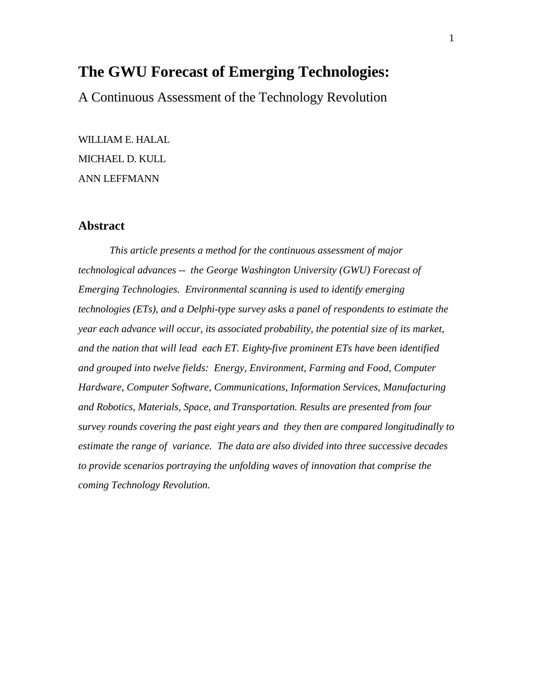# **The GWU Forecast of Emerging Technologies:**

A Continuous Assessment of the Technology Revolution

WILLIAM E. HALAL MICHAEL D. KULL ANN LEFFMANN

# **Abstract**

*This article presents a method for the continuous assessment of major technological advances -- the George Washington University (GWU) Forecast of Emerging Technologies. Environmental scanning is used to identify emerging technologies (ETs), and a Delphi-type survey asks a panel of respondents to estimate the year each advance will occur, its associated probability, the potential size of its market, and the nation that will lead each ET. Eighty-five prominent ETs have been identified and grouped into twelve fields: Energy, Environment, Farming and Food, Computer Hardware, Computer Software, Communications, Information Services, Manufacturing and Robotics, Materials, Space, and Transportation. Results are presented from four survey rounds covering the past eight years and they then are compared longitudinally to estimate the range of variance. The data are also divided into three successive decades to provide scenarios portraying the unfolding waves of innovation that comprise the coming Technology Revolution.*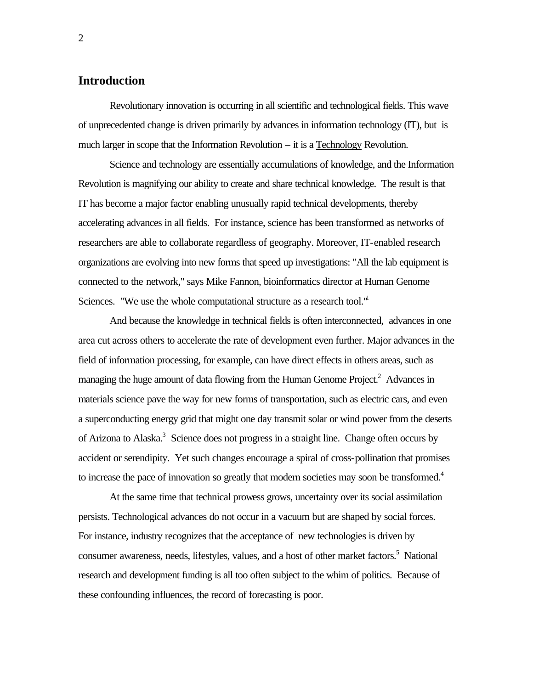# **Introduction**

Revolutionary innovation is occurring in all scientific and technological fields. This wave of unprecedented change is driven primarily by advances in information technology (IT), but is much larger in scope that the Information Revolution – it is a Technology Revolution.

Science and technology are essentially accumulations of knowledge, and the Information Revolution is magnifying our ability to create and share technical knowledge. The result is that IT has become a major factor enabling unusually rapid technical developments, thereby accelerating advances in all fields. For instance, science has been transformed as networks of researchers are able to collaborate regardless of geography. Moreover, IT-enabled research organizations are evolving into new forms that speed up investigations: "All the lab equipment is connected to the network," says Mike Fannon, bioinformatics director at Human Genome Sciences. "We use the whole computational structure as a research tool."

And because the knowledge in technical fields is often interconnected, advances in one area cut across others to accelerate the rate of development even further. Major advances in the field of information processing, for example, can have direct effects in others areas, such as managing the huge amount of data flowing from the Human Genome Project.<sup>2</sup> Advances in materials science pave the way for new forms of transportation, such as electric cars, and even a superconducting energy grid that might one day transmit solar or wind power from the deserts of Arizona to Alaska.<sup>3</sup> Science does not progress in a straight line. Change often occurs by accident or serendipity. Yet such changes encourage a spiral of cross-pollination that promises to increase the pace of innovation so greatly that modern societies may soon be transformed.<sup>4</sup>

At the same time that technical prowess grows, uncertainty over its social assimilation persists. Technological advances do not occur in a vacuum but are shaped by social forces. For instance, industry recognizes that the acceptance of new technologies is driven by consumer awareness, needs, lifestyles, values, and a host of other market factors.<sup>5</sup> National research and development funding is all too often subject to the whim of politics. Because of these confounding influences, the record of forecasting is poor.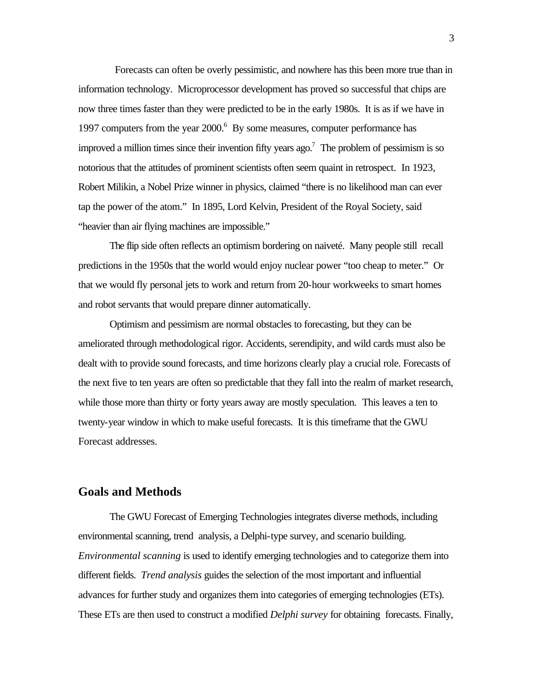Forecasts can often be overly pessimistic, and nowhere has this been more true than in information technology. Microprocessor development has proved so successful that chips are now three times faster than they were predicted to be in the early 1980s. It is as if we have in 1997 computers from the year 2000.<sup>6</sup> By some measures, computer performance has improved a million times since their invention fifty years ago.<sup>7</sup> The problem of pessimism is so notorious that the attitudes of prominent scientists often seem quaint in retrospect. In 1923, Robert Milikin, a Nobel Prize winner in physics, claimed "there is no likelihood man can ever tap the power of the atom." In 1895, Lord Kelvin, President of the Royal Society, said "heavier than air flying machines are impossible."

The flip side often reflects an optimism bordering on naiveté. Many people still recall predictions in the 1950s that the world would enjoy nuclear power "too cheap to meter." Or that we would fly personal jets to work and return from 20-hour workweeks to smart homes and robot servants that would prepare dinner automatically.

Optimism and pessimism are normal obstacles to forecasting, but they can be ameliorated through methodological rigor. Accidents, serendipity, and wild cards must also be dealt with to provide sound forecasts, and time horizons clearly play a crucial role. Forecasts of the next five to ten years are often so predictable that they fall into the realm of market research, while those more than thirty or forty years away are mostly speculation. This leaves a ten to twenty-year window in which to make useful forecasts. It is this timeframe that the GWU Forecast addresses.

# **Goals and Methods**

The GWU Forecast of Emerging Technologies integrates diverse methods, including environmental scanning, trend analysis, a Delphi-type survey, and scenario building. *Environmental scanning* is used to identify emerging technologies and to categorize them into different fields. *Trend analysis* guides the selection of the most important and influential advances for further study and organizes them into categories of emerging technologies (ETs). These ETs are then used to construct a modified *Delphi survey* for obtaining forecasts. Finally,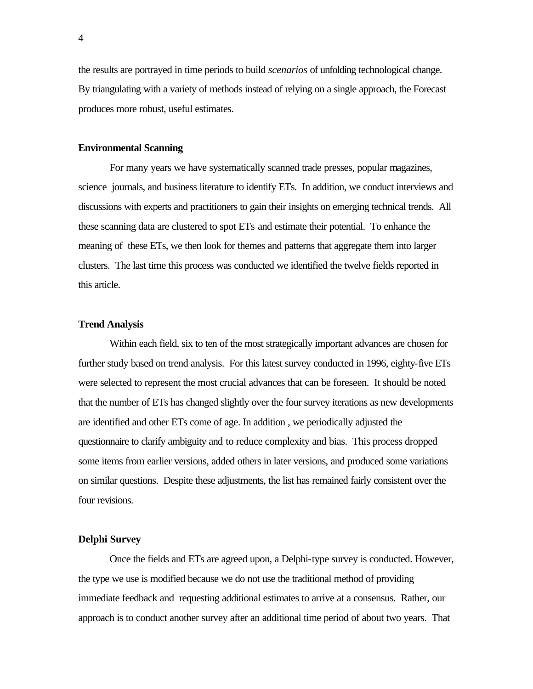the results are portrayed in time periods to build *scenarios* of unfolding technological change. By triangulating with a variety of methods instead of relying on a single approach, the Forecast produces more robust, useful estimates.

## **Environmental Scanning**

For many years we have systematically scanned trade presses, popular magazines, science journals, and business literature to identify ETs. In addition, we conduct interviews and discussions with experts and practitioners to gain their insights on emerging technical trends. All these scanning data are clustered to spot ETs and estimate their potential. To enhance the meaning of these ETs, we then look for themes and patterns that aggregate them into larger clusters. The last time this process was conducted we identified the twelve fields reported in this article.

#### **Trend Analysis**

Within each field, six to ten of the most strategically important advances are chosen for further study based on trend analysis. For this latest survey conducted in 1996, eighty-five ETs were selected to represent the most crucial advances that can be foreseen. It should be noted that the number of ETs has changed slightly over the four survey iterations as new developments are identified and other ETs come of age. In addition , we periodically adjusted the questionnaire to clarify ambiguity and to reduce complexity and bias. This process dropped some items from earlier versions, added others in later versions, and produced some variations on similar questions. Despite these adjustments, the list has remained fairly consistent over the four revisions.

### **Delphi Survey**

Once the fields and ETs are agreed upon, a Delphi-type survey is conducted. However, the type we use is modified because we do not use the traditional method of providing immediate feedback and requesting additional estimates to arrive at a consensus. Rather, our approach is to conduct another survey after an additional time period of about two years. That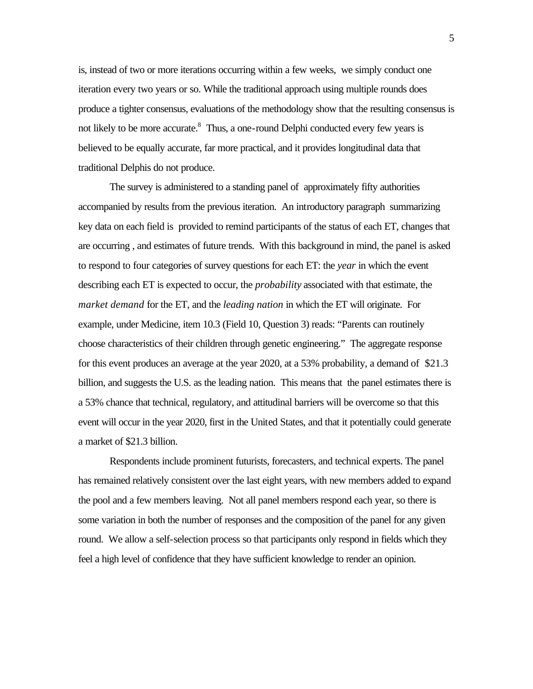is, instead of two or more iterations occurring within a few weeks, we simply conduct one iteration every two years or so. While the traditional approach using multiple rounds does produce a tighter consensus, evaluations of the methodology show that the resulting consensus is not likely to be more accurate.<sup>8</sup> Thus, a one-round Delphi conducted every few years is believed to be equally accurate, far more practical, and it provides longitudinal data that traditional Delphis do not produce.

The survey is administered to a standing panel of approximately fifty authorities accompanied by results from the previous iteration. An introductory paragraph summarizing key data on each field is provided to remind participants of the status of each ET, changes that are occurring , and estimates of future trends. With this background in mind, the panel is asked to respond to four categories of survey questions for each ET: the *year* in which the event describing each ET is expected to occur, the *probability* associated with that estimate, the *market demand* for the ET, and the *leading nation* in which the ET will originate. For example, under Medicine, item 10.3 (Field 10, Question 3) reads: "Parents can routinely choose characteristics of their children through genetic engineering." The aggregate response for this event produces an average at the year 2020, at a 53% probability, a demand of \$21.3 billion, and suggests the U.S. as the leading nation. This means that the panel estimates there is a 53% chance that technical, regulatory, and attitudinal barriers will be overcome so that this event will occur in the year 2020, first in the United States, and that it potentially could generate a market of \$21.3 billion.

Respondents include prominent futurists, forecasters, and technical experts. The panel has remained relatively consistent over the last eight years, with new members added to expand the pool and a few members leaving. Not all panel members respond each year, so there is some variation in both the number of responses and the composition of the panel for any given round. We allow a self-selection process so that participants only respond in fields which they feel a high level of confidence that they have sufficient knowledge to render an opinion.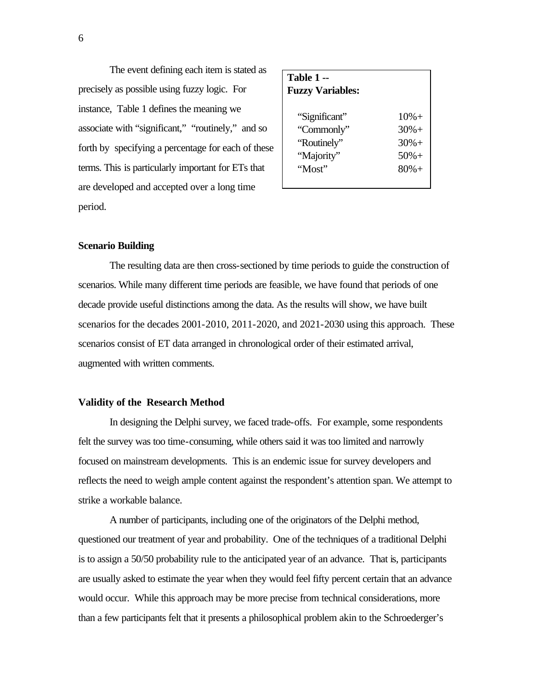The event defining each item is stated as precisely as possible using fuzzy logic. For instance, Table 1 defines the meaning we associate with "significant," "routinely," and so forth by specifying a percentage for each of these terms. This is particularly important for ETs that are developed and accepted over a long time period.

| Table 1 --<br><b>Fuzzy Variables:</b> |                    |  |  |  |  |
|---------------------------------------|--------------------|--|--|--|--|
| "Significant"<br>"Commonly"           | $10% +$<br>$30% +$ |  |  |  |  |
| "Routinely"                           | $30% +$            |  |  |  |  |
| "Majority"                            | $50% +$            |  |  |  |  |
| "Most"                                | $80% +$            |  |  |  |  |

### **Scenario Building**

The resulting data are then cross-sectioned by time periods to guide the construction of scenarios. While many different time periods are feasible, we have found that periods of one decade provide useful distinctions among the data. As the results will show, we have built scenarios for the decades 2001-2010, 2011-2020, and 2021-2030 using this approach. These scenarios consist of ET data arranged in chronological order of their estimated arrival, augmented with written comments.

#### **Validity of the Research Method**

In designing the Delphi survey, we faced trade-offs. For example, some respondents felt the survey was too time-consuming, while others said it was too limited and narrowly focused on mainstream developments. This is an endemic issue for survey developers and reflects the need to weigh ample content against the respondent's attention span. We attempt to strike a workable balance.

A number of participants, including one of the originators of the Delphi method, questioned our treatment of year and probability. One of the techniques of a traditional Delphi is to assign a 50/50 probability rule to the anticipated year of an advance. That is, participants are usually asked to estimate the year when they would feel fifty percent certain that an advance would occur. While this approach may be more precise from technical considerations, more than a few participants felt that it presents a philosophical problem akin to the Schroederger's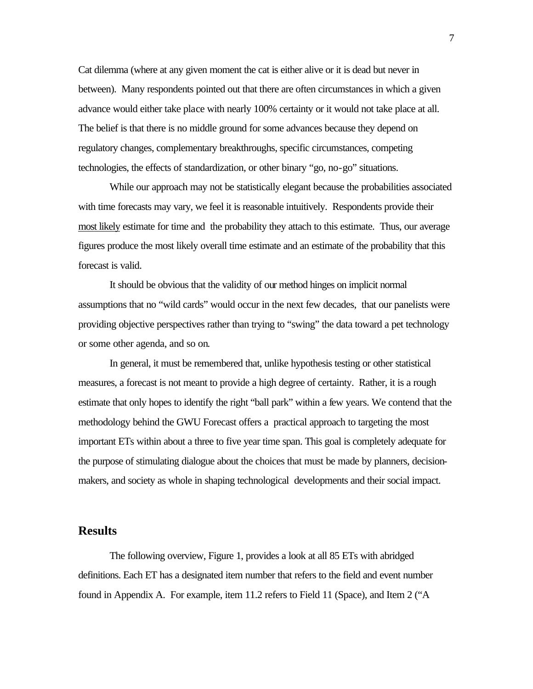Cat dilemma (where at any given moment the cat is either alive or it is dead but never in between). Many respondents pointed out that there are often circumstances in which a given advance would either take place with nearly 100% certainty or it would not take place at all. The belief is that there is no middle ground for some advances because they depend on regulatory changes, complementary breakthroughs, specific circumstances, competing technologies, the effects of standardization, or other binary "go, no-go" situations.

While our approach may not be statistically elegant because the probabilities associated with time forecasts may vary, we feel it is reasonable intuitively. Respondents provide their most likely estimate for time and the probability they attach to this estimate. Thus, our average figures produce the most likely overall time estimate and an estimate of the probability that this forecast is valid.

It should be obvious that the validity of our method hinges on implicit normal assumptions that no "wild cards" would occur in the next few decades, that our panelists were providing objective perspectives rather than trying to "swing" the data toward a pet technology or some other agenda, and so on.

In general, it must be remembered that, unlike hypothesis testing or other statistical measures, a forecast is not meant to provide a high degree of certainty. Rather, it is a rough estimate that only hopes to identify the right "ball park" within a few years. We contend that the methodology behind the GWU Forecast offers a practical approach to targeting the most important ETs within about a three to five year time span. This goal is completely adequate for the purpose of stimulating dialogue about the choices that must be made by planners, decisionmakers, and society as whole in shaping technological developments and their social impact.

# **Results**

The following overview, Figure 1, provides a look at all 85 ETs with abridged definitions. Each ET has a designated item number that refers to the field and event number found in Appendix A. For example, item 11.2 refers to Field 11 (Space), and Item 2 ("A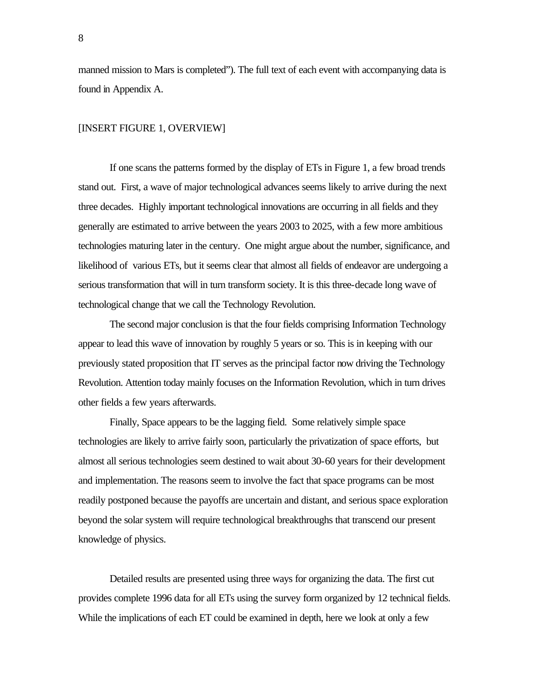manned mission to Mars is completed"). The full text of each event with accompanying data is found in Appendix A.

## [INSERT FIGURE 1, OVERVIEW]

If one scans the patterns formed by the display of ETs in Figure 1, a few broad trends stand out. First, a wave of major technological advances seems likely to arrive during the next three decades. Highly important technological innovations are occurring in all fields and they generally are estimated to arrive between the years 2003 to 2025, with a few more ambitious technologies maturing later in the century. One might argue about the number, significance, and likelihood of various ETs, but it seems clear that almost all fields of endeavor are undergoing a serious transformation that will in turn transform society. It is this three-decade long wave of technological change that we call the Technology Revolution.

The second major conclusion is that the four fields comprising Information Technology appear to lead this wave of innovation by roughly 5 years or so. This is in keeping with our previously stated proposition that IT serves as the principal factor now driving the Technology Revolution. Attention today mainly focuses on the Information Revolution, which in turn drives other fields a few years afterwards.

Finally, Space appears to be the lagging field. Some relatively simple space technologies are likely to arrive fairly soon, particularly the privatization of space efforts, but almost all serious technologies seem destined to wait about 30-60 years for their development and implementation. The reasons seem to involve the fact that space programs can be most readily postponed because the payoffs are uncertain and distant, and serious space exploration beyond the solar system will require technological breakthroughs that transcend our present knowledge of physics.

Detailed results are presented using three ways for organizing the data. The first cut provides complete 1996 data for all ETs using the survey form organized by 12 technical fields. While the implications of each ET could be examined in depth, here we look at only a few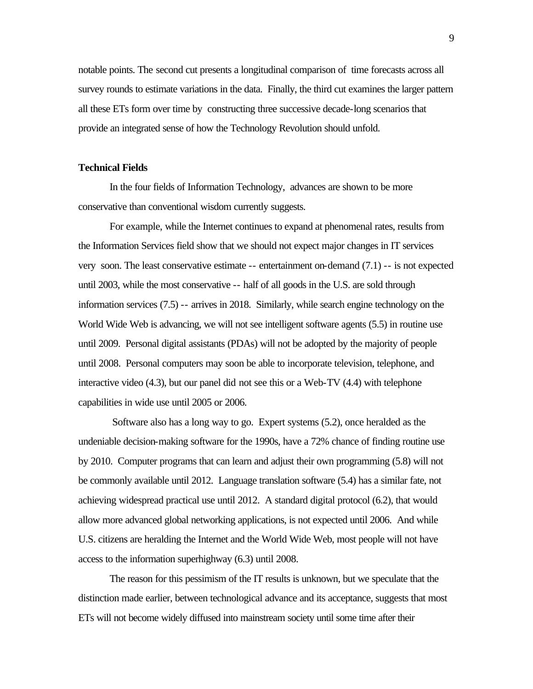notable points. The second cut presents a longitudinal comparison of time forecasts across all survey rounds to estimate variations in the data. Finally, the third cut examines the larger pattern all these ETs form over time by constructing three successive decade-long scenarios that provide an integrated sense of how the Technology Revolution should unfold.

## **Technical Fields**

In the four fields of Information Technology, advances are shown to be more conservative than conventional wisdom currently suggests.

For example, while the Internet continues to expand at phenomenal rates, results from the Information Services field show that we should not expect major changes in IT services very soon. The least conservative estimate -- entertainment on-demand (7.1) -- is not expected until 2003, while the most conservative -- half of all goods in the U.S. are sold through information services (7.5) -- arrives in 2018. Similarly, while search engine technology on the World Wide Web is advancing, we will not see intelligent software agents (5.5) in routine use until 2009. Personal digital assistants (PDAs) will not be adopted by the majority of people until 2008. Personal computers may soon be able to incorporate television, telephone, and interactive video (4.3), but our panel did not see this or a Web-TV (4.4) with telephone capabilities in wide use until 2005 or 2006.

 Software also has a long way to go. Expert systems (5.2), once heralded as the undeniable decision-making software for the 1990s, have a 72% chance of finding routine use by 2010. Computer programs that can learn and adjust their own programming (5.8) will not be commonly available until 2012. Language translation software (5.4) has a similar fate, not achieving widespread practical use until 2012. A standard digital protocol (6.2), that would allow more advanced global networking applications, is not expected until 2006. And while U.S. citizens are heralding the Internet and the World Wide Web, most people will not have access to the information superhighway (6.3) until 2008.

The reason for this pessimism of the IT results is unknown, but we speculate that the distinction made earlier, between technological advance and its acceptance, suggests that most ETs will not become widely diffused into mainstream society until some time after their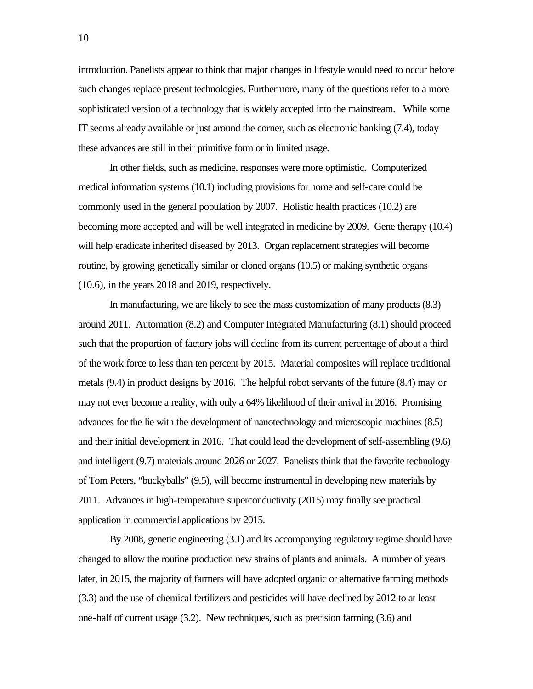introduction. Panelists appear to think that major changes in lifestyle would need to occur before such changes replace present technologies. Furthermore, many of the questions refer to a more sophisticated version of a technology that is widely accepted into the mainstream. While some IT seems already available or just around the corner, such as electronic banking (7.4), today these advances are still in their primitive form or in limited usage.

In other fields, such as medicine, responses were more optimistic. Computerized medical information systems (10.1) including provisions for home and self-care could be commonly used in the general population by 2007. Holistic health practices (10.2) are becoming more accepted and will be well integrated in medicine by 2009. Gene therapy (10.4) will help eradicate inherited diseased by 2013. Organ replacement strategies will become routine, by growing genetically similar or cloned organs (10.5) or making synthetic organs (10.6), in the years 2018 and 2019, respectively.

In manufacturing, we are likely to see the mass customization of many products (8.3) around 2011. Automation (8.2) and Computer Integrated Manufacturing (8.1) should proceed such that the proportion of factory jobs will decline from its current percentage of about a third of the work force to less than ten percent by 2015. Material composites will replace traditional metals (9.4) in product designs by 2016. The helpful robot servants of the future (8.4) may or may not ever become a reality, with only a 64% likelihood of their arrival in 2016. Promising advances for the lie with the development of nanotechnology and microscopic machines (8.5) and their initial development in 2016. That could lead the development of self-assembling (9.6) and intelligent (9.7) materials around 2026 or 2027. Panelists think that the favorite technology of Tom Peters, "buckyballs" (9.5), will become instrumental in developing new materials by 2011. Advances in high-temperature superconductivity (2015) may finally see practical application in commercial applications by 2015.

By 2008, genetic engineering (3.1) and its accompanying regulatory regime should have changed to allow the routine production new strains of plants and animals. A number of years later, in 2015, the majority of farmers will have adopted organic or alternative farming methods (3.3) and the use of chemical fertilizers and pesticides will have declined by 2012 to at least one-half of current usage (3.2). New techniques, such as precision farming (3.6) and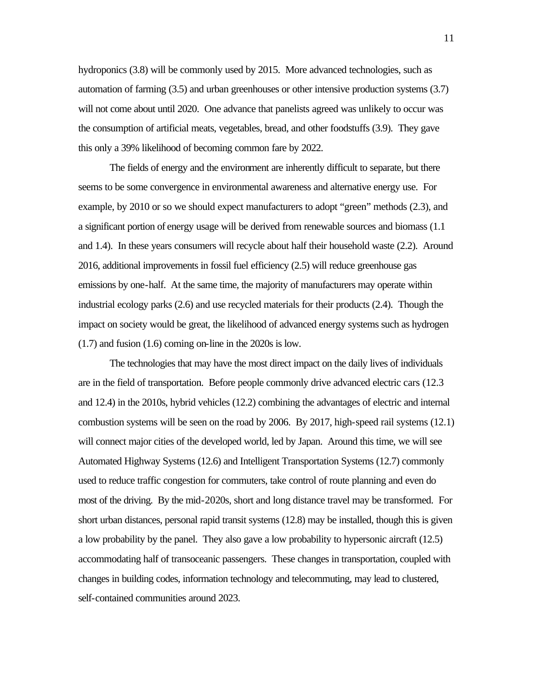hydroponics (3.8) will be commonly used by 2015. More advanced technologies, such as automation of farming (3.5) and urban greenhouses or other intensive production systems (3.7) will not come about until 2020. One advance that panelists agreed was unlikely to occur was the consumption of artificial meats, vegetables, bread, and other foodstuffs (3.9). They gave this only a 39% likelihood of becoming common fare by 2022.

The fields of energy and the environment are inherently difficult to separate, but there seems to be some convergence in environmental awareness and alternative energy use. For example, by 2010 or so we should expect manufacturers to adopt "green" methods (2.3), and a significant portion of energy usage will be derived from renewable sources and biomass (1.1 and 1.4). In these years consumers will recycle about half their household waste (2.2). Around 2016, additional improvements in fossil fuel efficiency (2.5) will reduce greenhouse gas emissions by one-half. At the same time, the majority of manufacturers may operate within industrial ecology parks (2.6) and use recycled materials for their products (2.4). Though the impact on society would be great, the likelihood of advanced energy systems such as hydrogen (1.7) and fusion (1.6) coming on-line in the 2020s is low.

The technologies that may have the most direct impact on the daily lives of individuals are in the field of transportation. Before people commonly drive advanced electric cars (12.3 and 12.4) in the 2010s, hybrid vehicles (12.2) combining the advantages of electric and internal combustion systems will be seen on the road by 2006. By 2017, high-speed rail systems (12.1) will connect major cities of the developed world, led by Japan. Around this time, we will see Automated Highway Systems (12.6) and Intelligent Transportation Systems (12.7) commonly used to reduce traffic congestion for commuters, take control of route planning and even do most of the driving. By the mid-2020s, short and long distance travel may be transformed. For short urban distances, personal rapid transit systems (12.8) may be installed, though this is given a low probability by the panel. They also gave a low probability to hypersonic aircraft (12.5) accommodating half of transoceanic passengers. These changes in transportation, coupled with changes in building codes, information technology and telecommuting, may lead to clustered, self-contained communities around 2023.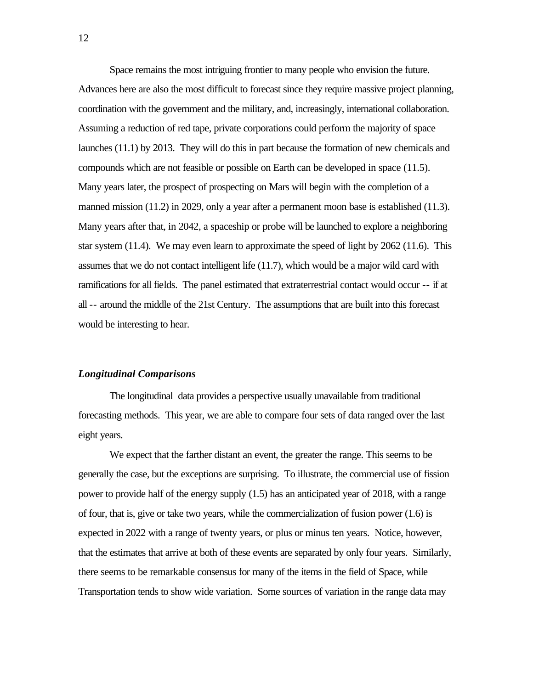Space remains the most intriguing frontier to many people who envision the future. Advances here are also the most difficult to forecast since they require massive project planning, coordination with the government and the military, and, increasingly, international collaboration. Assuming a reduction of red tape, private corporations could perform the majority of space launches (11.1) by 2013. They will do this in part because the formation of new chemicals and compounds which are not feasible or possible on Earth can be developed in space (11.5). Many years later, the prospect of prospecting on Mars will begin with the completion of a manned mission (11.2) in 2029, only a year after a permanent moon base is established (11.3). Many years after that, in 2042, a spaceship or probe will be launched to explore a neighboring star system (11.4). We may even learn to approximate the speed of light by 2062 (11.6). This assumes that we do not contact intelligent life (11.7), which would be a major wild card with ramifications for all fields. The panel estimated that extraterrestrial contact would occur -- if at all -- around the middle of the 21st Century. The assumptions that are built into this forecast would be interesting to hear.

## *Longitudinal Comparisons*

The longitudinal data provides a perspective usually unavailable from traditional forecasting methods. This year, we are able to compare four sets of data ranged over the last eight years.

We expect that the farther distant an event, the greater the range. This seems to be generally the case, but the exceptions are surprising. To illustrate, the commercial use of fission power to provide half of the energy supply (1.5) has an anticipated year of 2018, with a range of four, that is, give or take two years, while the commercialization of fusion power (1.6) is expected in 2022 with a range of twenty years, or plus or minus ten years. Notice, however, that the estimates that arrive at both of these events are separated by only four years. Similarly, there seems to be remarkable consensus for many of the items in the field of Space, while Transportation tends to show wide variation. Some sources of variation in the range data may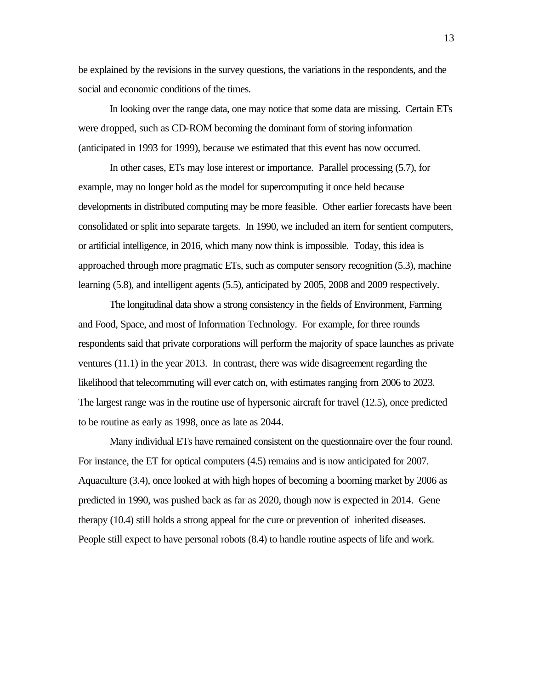be explained by the revisions in the survey questions, the variations in the respondents, and the social and economic conditions of the times.

In looking over the range data, one may notice that some data are missing. Certain ETs were dropped, such as CD-ROM becoming the dominant form of storing information (anticipated in 1993 for 1999), because we estimated that this event has now occurred.

In other cases, ETs may lose interest or importance. Parallel processing (5.7), for example, may no longer hold as the model for supercomputing it once held because developments in distributed computing may be more feasible. Other earlier forecasts have been consolidated or split into separate targets. In 1990, we included an item for sentient computers, or artificial intelligence, in 2016, which many now think is impossible. Today, this idea is approached through more pragmatic ETs, such as computer sensory recognition (5.3), machine learning (5.8), and intelligent agents (5.5), anticipated by 2005, 2008 and 2009 respectively.

The longitudinal data show a strong consistency in the fields of Environment, Farming and Food, Space, and most of Information Technology. For example, for three rounds respondents said that private corporations will perform the majority of space launches as private ventures (11.1) in the year 2013. In contrast, there was wide disagreement regarding the likelihood that telecommuting will ever catch on, with estimates ranging from 2006 to 2023. The largest range was in the routine use of hypersonic aircraft for travel (12.5), once predicted to be routine as early as 1998, once as late as 2044.

Many individual ETs have remained consistent on the questionnaire over the four round. For instance, the ET for optical computers  $(4.5)$  remains and is now anticipated for 2007. Aquaculture (3.4), once looked at with high hopes of becoming a booming market by 2006 as predicted in 1990, was pushed back as far as 2020, though now is expected in 2014. Gene therapy (10.4) still holds a strong appeal for the cure or prevention of inherited diseases. People still expect to have personal robots (8.4) to handle routine aspects of life and work.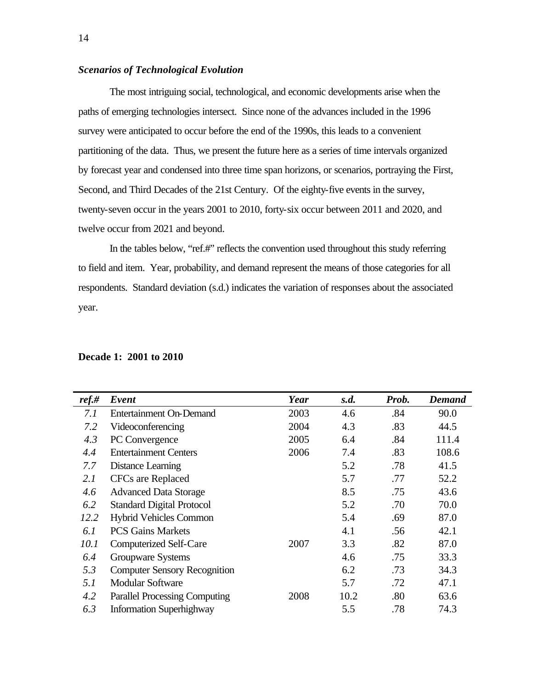## *Scenarios of Technological Evolution*

The most intriguing social, technological, and economic developments arise when the paths of emerging technologies intersect. Since none of the advances included in the 1996 survey were anticipated to occur before the end of the 1990s, this leads to a convenient partitioning of the data. Thus, we present the future here as a series of time intervals organized by forecast year and condensed into three time span horizons, or scenarios, portraying the First, Second, and Third Decades of the 21st Century. Of the eighty-five events in the survey, twenty-seven occur in the years 2001 to 2010, forty-six occur between 2011 and 2020, and twelve occur from 2021 and beyond.

In the tables below, "ref.#" reflects the convention used throughout this study referring to field and item. Year, probability, and demand represent the means of those categories for all respondents. Standard deviation (s.d.) indicates the variation of responses about the associated year.

| $ref.$ # | Event                                | Year | s.d. | Prob. | <b>Demand</b> |
|----------|--------------------------------------|------|------|-------|---------------|
| 7.1      | <b>Entertainment On-Demand</b>       | 2003 | 4.6  | .84   | 90.0          |
| 7.2      | Videoconferencing                    | 2004 | 4.3  | .83   | 44.5          |
| 4.3      | PC Convergence                       | 2005 | 6.4  | .84   | 111.4         |
| 4.4      | <b>Entertainment Centers</b>         | 2006 | 7.4  | .83   | 108.6         |
| 7.7      | Distance Learning                    |      | 5.2  | .78   | 41.5          |
| 2.1      | CFCs are Replaced                    |      | 5.7  | .77   | 52.2          |
| 4.6      | <b>Advanced Data Storage</b>         |      | 8.5  | .75   | 43.6          |
| 6.2      | <b>Standard Digital Protocol</b>     |      | 5.2  | .70   | 70.0          |
| 12.2     | <b>Hybrid Vehicles Common</b>        |      | 5.4  | .69   | 87.0          |
| 6.1      | <b>PCS Gains Markets</b>             |      | 4.1  | .56   | 42.1          |
| 10.1     | <b>Computerized Self-Care</b>        | 2007 | 3.3  | .82   | 87.0          |
| 6.4      | Groupware Systems                    |      | 4.6  | .75   | 33.3          |
| 5.3      | <b>Computer Sensory Recognition</b>  |      | 6.2  | .73   | 34.3          |
| 5.1      | <b>Modular Software</b>              |      | 5.7  | .72   | 47.1          |
| 4.2      | <b>Parallel Processing Computing</b> | 2008 | 10.2 | .80   | 63.6          |
| 6.3      | <b>Information Superhighway</b>      |      | 5.5  | .78   | 74.3          |

#### **Decade 1: 2001 to 2010**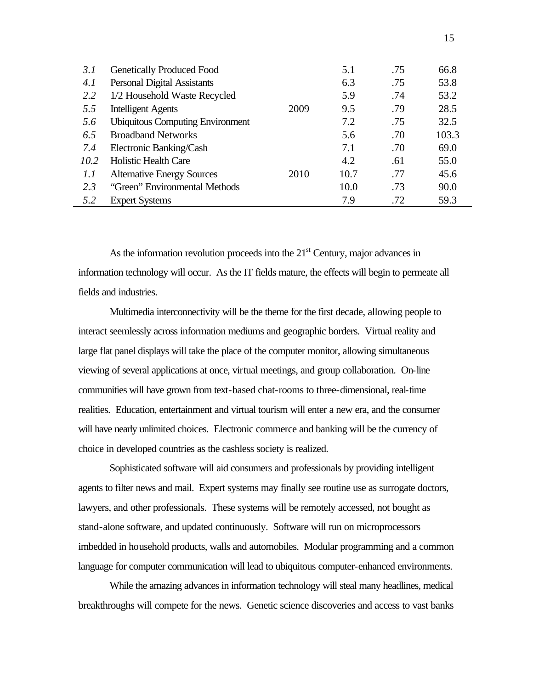| 3.1  | <b>Genetically Produced Food</b>        |      | 5.1  | .75 | 66.8  |
|------|-----------------------------------------|------|------|-----|-------|
| 4.1  | <b>Personal Digital Assistants</b>      |      | 6.3  | .75 | 53.8  |
| 2.2  | 1/2 Household Waste Recycled            |      | 5.9  | .74 | 53.2  |
| 5.5  | <b>Intelligent Agents</b>               | 2009 | 9.5  | .79 | 28.5  |
| 5.6  | <b>Ubiquitous Computing Environment</b> |      | 7.2  | .75 | 32.5  |
| 6.5  | <b>Broadband Networks</b>               |      | 5.6  | .70 | 103.3 |
| 7.4  | Electronic Banking/Cash                 |      | 7.1  | .70 | 69.0  |
| 10.2 | <b>Holistic Health Care</b>             |      | 4.2  | .61 | 55.0  |
| 1.1  | <b>Alternative Energy Sources</b>       | 2010 | 10.7 | .77 | 45.6  |
| 2.3  | "Green" Environmental Methods           |      | 10.0 | .73 | 90.0  |
| 5.2  | <b>Expert Systems</b>                   |      | 7.9  | .72 | 59.3  |

As the information revolution proceeds into the  $21<sup>st</sup>$  Century, major advances in information technology will occur. As the IT fields mature, the effects will begin to permeate all fields and industries.

Multimedia interconnectivity will be the theme for the first decade, allowing people to interact seemlessly across information mediums and geographic borders. Virtual reality and large flat panel displays will take the place of the computer monitor, allowing simultaneous viewing of several applications at once, virtual meetings, and group collaboration. On-line communities will have grown from text-based chat-rooms to three-dimensional, real-time realities. Education, entertainment and virtual tourism will enter a new era, and the consumer will have nearly unlimited choices. Electronic commerce and banking will be the currency of choice in developed countries as the cashless society is realized.

Sophisticated software will aid consumers and professionals by providing intelligent agents to filter news and mail. Expert systems may finally see routine use as surrogate doctors, lawyers, and other professionals. These systems will be remotely accessed, not bought as stand-alone software, and updated continuously. Software will run on microprocessors imbedded in household products, walls and automobiles. Modular programming and a common language for computer communication will lead to ubiquitous computer-enhanced environments.

While the amazing advances in information technology will steal many headlines, medical breakthroughs will compete for the news. Genetic science discoveries and access to vast banks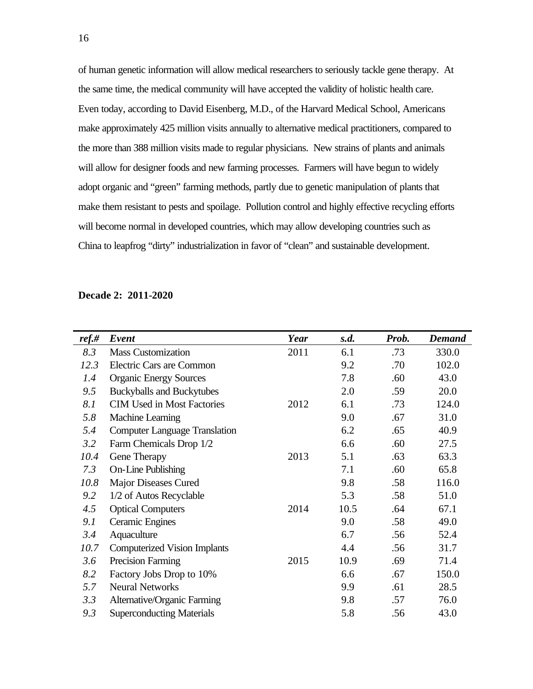of human genetic information will allow medical researchers to seriously tackle gene therapy. At the same time, the medical community will have accepted the validity of holistic health care. Even today, according to David Eisenberg, M.D., of the Harvard Medical School, Americans make approximately 425 million visits annually to alternative medical practitioners, compared to the more than 388 million visits made to regular physicians. New strains of plants and animals will allow for designer foods and new farming processes. Farmers will have begun to widely adopt organic and "green" farming methods, partly due to genetic manipulation of plants that make them resistant to pests and spoilage. Pollution control and highly effective recycling efforts will become normal in developed countries, which may allow developing countries such as China to leapfrog "dirty" industrialization in favor of "clean" and sustainable development.

### **Decade 2: 2011-2020**

| ref.# | Event                                | Year | s.d. | Prob. | <b>Demand</b> |
|-------|--------------------------------------|------|------|-------|---------------|
| 8.3   | <b>Mass Customization</b>            | 2011 | 6.1  | .73   | 330.0         |
| 12.3  | Electric Cars are Common             |      | 9.2  | .70   | 102.0         |
| 1.4   | <b>Organic Energy Sources</b>        |      | 7.8  | .60   | 43.0          |
| 9.5   | <b>Buckyballs and Buckytubes</b>     |      | 2.0  | .59   | 20.0          |
| 8.1   | <b>CIM Used in Most Factories</b>    | 2012 | 6.1  | .73   | 124.0         |
| 5.8   | Machine Learning                     |      | 9.0  | .67   | 31.0          |
| 5.4   | <b>Computer Language Translation</b> |      | 6.2  | .65   | 40.9          |
| 3.2   | Farm Chemicals Drop 1/2              |      | 6.6  | .60   | 27.5          |
| 10.4  | Gene Therapy                         | 2013 | 5.1  | .63   | 63.3          |
| 7.3   | <b>On-Line Publishing</b>            |      | 7.1  | .60   | 65.8          |
| 10.8  | Major Diseases Cured                 |      | 9.8  | .58   | 116.0         |
| 9.2   | 1/2 of Autos Recyclable              |      | 5.3  | .58   | 51.0          |
| 4.5   | <b>Optical Computers</b>             | 2014 | 10.5 | .64   | 67.1          |
| 9.1   | <b>Ceramic Engines</b>               |      | 9.0  | .58   | 49.0          |
| 3.4   | Aquaculture                          |      | 6.7  | .56   | 52.4          |
| 10.7  | <b>Computerized Vision Implants</b>  |      | 4.4  | .56   | 31.7          |
| 3.6   | Precision Farming                    | 2015 | 10.9 | .69   | 71.4          |
| 8.2   | Factory Jobs Drop to 10%             |      | 6.6  | .67   | 150.0         |
| 5.7   | <b>Neural Networks</b>               |      | 9.9  | .61   | 28.5          |
| 3.3   | Alternative/Organic Farming          |      | 9.8  | .57   | 76.0          |
| 9.3   | <b>Superconducting Materials</b>     |      | 5.8  | .56   | 43.0          |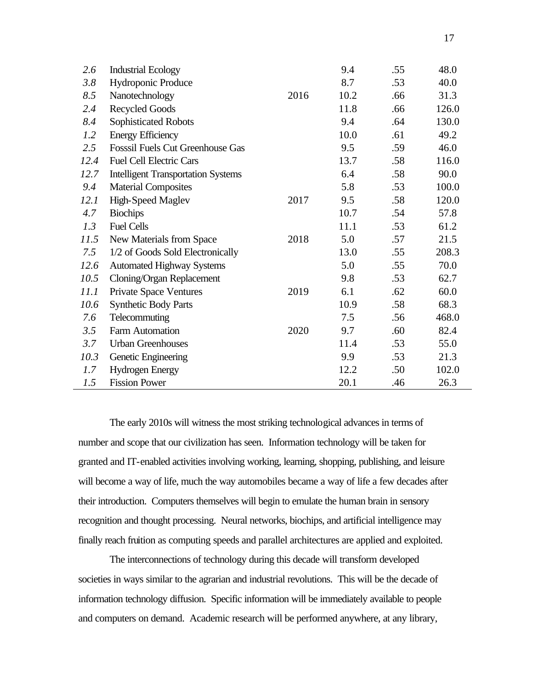| 2.6  | <b>Industrial Ecology</b>                 |      | 9.4  | .55 | 48.0  |
|------|-------------------------------------------|------|------|-----|-------|
| 3.8  | Hydroponic Produce                        |      | 8.7  | .53 | 40.0  |
| 8.5  | Nanotechnology                            | 2016 | 10.2 | .66 | 31.3  |
| 2.4  | <b>Recycled Goods</b>                     |      | 11.8 | .66 | 126.0 |
| 8.4  | Sophisticated Robots                      |      | 9.4  | .64 | 130.0 |
| 1.2  | <b>Energy Efficiency</b>                  |      | 10.0 | .61 | 49.2  |
| 2.5  | <b>Fosssil Fuels Cut Greenhouse Gas</b>   |      | 9.5  | .59 | 46.0  |
| 12.4 | <b>Fuel Cell Electric Cars</b>            |      | 13.7 | .58 | 116.0 |
| 12.7 | <b>Intelligent Transportation Systems</b> |      | 6.4  | .58 | 90.0  |
| 9.4  | <b>Material Composites</b>                |      | 5.8  | .53 | 100.0 |
| 12.1 | High-Speed Maglev                         | 2017 | 9.5  | .58 | 120.0 |
| 4.7  | <b>Biochips</b>                           |      | 10.7 | .54 | 57.8  |
| 1.3  | <b>Fuel Cells</b>                         |      | 11.1 | .53 | 61.2  |
| 11.5 | New Materials from Space                  | 2018 | 5.0  | .57 | 21.5  |
| 7.5  | 1/2 of Goods Sold Electronically          |      | 13.0 | .55 | 208.3 |
| 12.6 | <b>Automated Highway Systems</b>          |      | 5.0  | .55 | 70.0  |
| 10.5 | Cloning/Organ Replacement                 |      | 9.8  | .53 | 62.7  |
| 11.1 | <b>Private Space Ventures</b>             | 2019 | 6.1  | .62 | 60.0  |
| 10.6 | <b>Synthetic Body Parts</b>               |      | 10.9 | .58 | 68.3  |
| 7.6  | Telecommuting                             |      | 7.5  | .56 | 468.0 |
| 3.5  | Farm Automation                           | 2020 | 9.7  | .60 | 82.4  |
| 3.7  | <b>Urban Greenhouses</b>                  |      | 11.4 | .53 | 55.0  |
| 10.3 | Genetic Engineering                       |      | 9.9  | .53 | 21.3  |
| 1.7  | <b>Hydrogen Energy</b>                    |      | 12.2 | .50 | 102.0 |
| 1.5  | <b>Fission Power</b>                      |      | 20.1 | .46 | 26.3  |

The early 2010s will witness the most striking technological advances in terms of number and scope that our civilization has seen. Information technology will be taken for granted and IT-enabled activities involving working, learning, shopping, publishing, and leisure will become a way of life, much the way automobiles became a way of life a few decades after their introduction. Computers themselves will begin to emulate the human brain in sensory recognition and thought processing. Neural networks, biochips, and artificial intelligence may finally reach fruition as computing speeds and parallel architectures are applied and exploited.

The interconnections of technology during this decade will transform developed societies in ways similar to the agrarian and industrial revolutions. This will be the decade of information technology diffusion. Specific information will be immediately available to people and computers on demand. Academic research will be performed anywhere, at any library,

17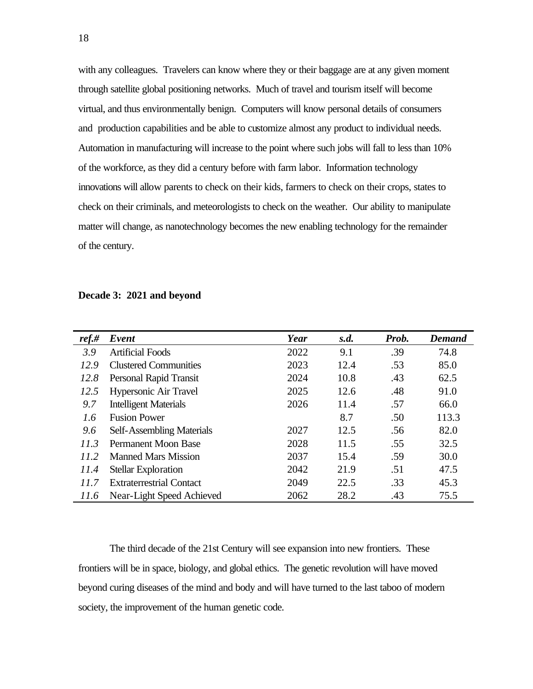with any colleagues. Travelers can know where they or their baggage are at any given moment through satellite global positioning networks. Much of travel and tourism itself will become virtual, and thus environmentally benign. Computers will know personal details of consumers and production capabilities and be able to customize almost any product to individual needs. Automation in manufacturing will increase to the point where such jobs will fall to less than 10% of the workforce, as they did a century before with farm labor. Information technology innovations will allow parents to check on their kids, farmers to check on their crops, states to check on their criminals, and meteorologists to check on the weather. Our ability to manipulate matter will change, as nanotechnology becomes the new enabling technology for the remainder of the century.

| $ref.$ # | Event                           | Year | s.d. | Prob. | <b>Demand</b> |
|----------|---------------------------------|------|------|-------|---------------|
| 3.9      | <b>Artificial Foods</b>         | 2022 | 9.1  | .39   | 74.8          |
| 12.9     | <b>Clustered Communities</b>    | 2023 | 12.4 | .53   | 85.0          |
| 12.8     | Personal Rapid Transit          | 2024 | 10.8 | .43   | 62.5          |
| 12.5     | Hypersonic Air Travel           | 2025 | 12.6 | .48   | 91.0          |
| 9.7      | <b>Intelligent Materials</b>    | 2026 | 11.4 | .57   | 66.0          |
| 1.6      | <b>Fusion Power</b>             |      | 8.7  | .50   | 113.3         |
| 9.6      | Self-Assembling Materials       | 2027 | 12.5 | .56   | 82.0          |
| 11.3     | Permanent Moon Base             | 2028 | 11.5 | .55   | 32.5          |
| 11.2     | <b>Manned Mars Mission</b>      | 2037 | 15.4 | .59   | 30.0          |
| 11.4     | <b>Stellar Exploration</b>      | 2042 | 21.9 | .51   | 47.5          |
| 11.7     | <b>Extraterrestrial Contact</b> | 2049 | 22.5 | .33   | 45.3          |
| 11.6     | Near-Light Speed Achieved       | 2062 | 28.2 | .43   | 75.5          |

#### **Decade 3: 2021 and beyond**

The third decade of the 21st Century will see expansion into new frontiers. These frontiers will be in space, biology, and global ethics. The genetic revolution will have moved beyond curing diseases of the mind and body and will have turned to the last taboo of modern society, the improvement of the human genetic code.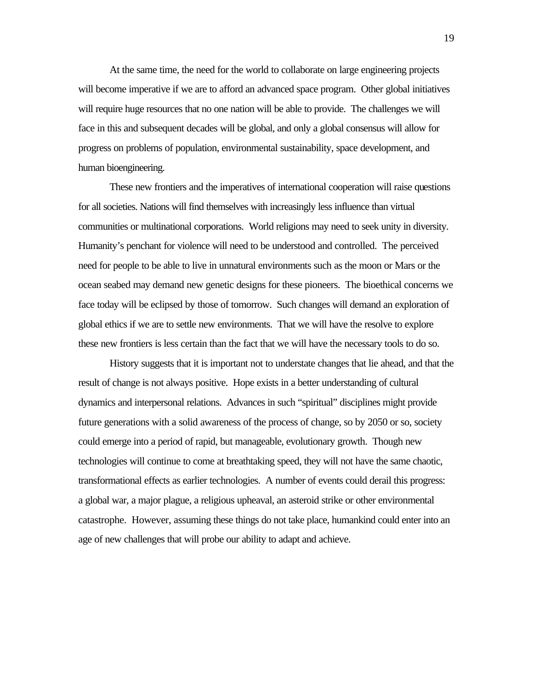At the same time, the need for the world to collaborate on large engineering projects will become imperative if we are to afford an advanced space program. Other global initiatives will require huge resources that no one nation will be able to provide. The challenges we will face in this and subsequent decades will be global, and only a global consensus will allow for progress on problems of population, environmental sustainability, space development, and human bioengineering.

These new frontiers and the imperatives of international cooperation will raise questions for all societies. Nations will find themselves with increasingly less influence than virtual communities or multinational corporations. World religions may need to seek unity in diversity. Humanity's penchant for violence will need to be understood and controlled. The perceived need for people to be able to live in unnatural environments such as the moon or Mars or the ocean seabed may demand new genetic designs for these pioneers. The bioethical concerns we face today will be eclipsed by those of tomorrow. Such changes will demand an exploration of global ethics if we are to settle new environments. That we will have the resolve to explore these new frontiers is less certain than the fact that we will have the necessary tools to do so.

History suggests that it is important not to understate changes that lie ahead, and that the result of change is not always positive. Hope exists in a better understanding of cultural dynamics and interpersonal relations. Advances in such "spiritual" disciplines might provide future generations with a solid awareness of the process of change, so by 2050 or so, society could emerge into a period of rapid, but manageable, evolutionary growth. Though new technologies will continue to come at breathtaking speed, they will not have the same chaotic, transformational effects as earlier technologies. A number of events could derail this progress: a global war, a major plague, a religious upheaval, an asteroid strike or other environmental catastrophe. However, assuming these things do not take place, humankind could enter into an age of new challenges that will probe our ability to adapt and achieve.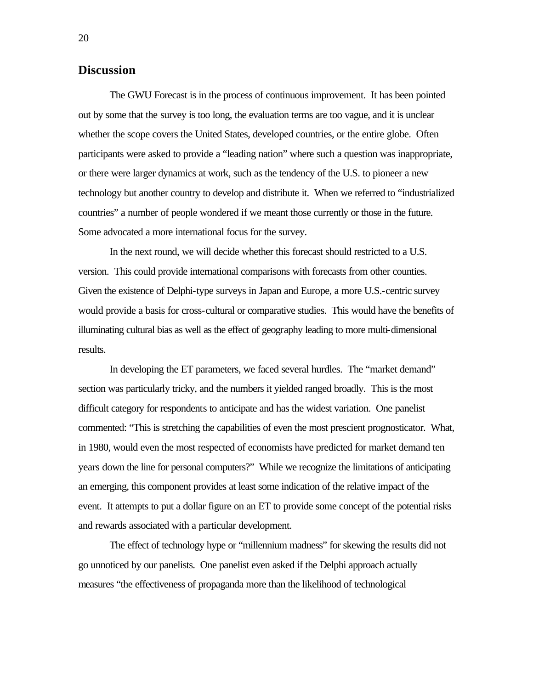# **Discussion**

The GWU Forecast is in the process of continuous improvement. It has been pointed out by some that the survey is too long, the evaluation terms are too vague, and it is unclear whether the scope covers the United States, developed countries, or the entire globe. Often participants were asked to provide a "leading nation" where such a question was inappropriate, or there were larger dynamics at work, such as the tendency of the U.S. to pioneer a new technology but another country to develop and distribute it. When we referred to "industrialized countries" a number of people wondered if we meant those currently or those in the future. Some advocated a more international focus for the survey.

In the next round, we will decide whether this forecast should restricted to a U.S. version. This could provide international comparisons with forecasts from other counties. Given the existence of Delphi-type surveys in Japan and Europe, a more U.S.-centric survey would provide a basis for cross-cultural or comparative studies. This would have the benefits of illuminating cultural bias as well as the effect of geography leading to more multi-dimensional results.

In developing the ET parameters, we faced several hurdles. The "market demand" section was particularly tricky, and the numbers it yielded ranged broadly. This is the most difficult category for respondents to anticipate and has the widest variation. One panelist commented: "This is stretching the capabilities of even the most prescient prognosticator. What, in 1980, would even the most respected of economists have predicted for market demand ten years down the line for personal computers?" While we recognize the limitations of anticipating an emerging, this component provides at least some indication of the relative impact of the event. It attempts to put a dollar figure on an ET to provide some concept of the potential risks and rewards associated with a particular development.

The effect of technology hype or "millennium madness" for skewing the results did not go unnoticed by our panelists. One panelist even asked if the Delphi approach actually measures "the effectiveness of propaganda more than the likelihood of technological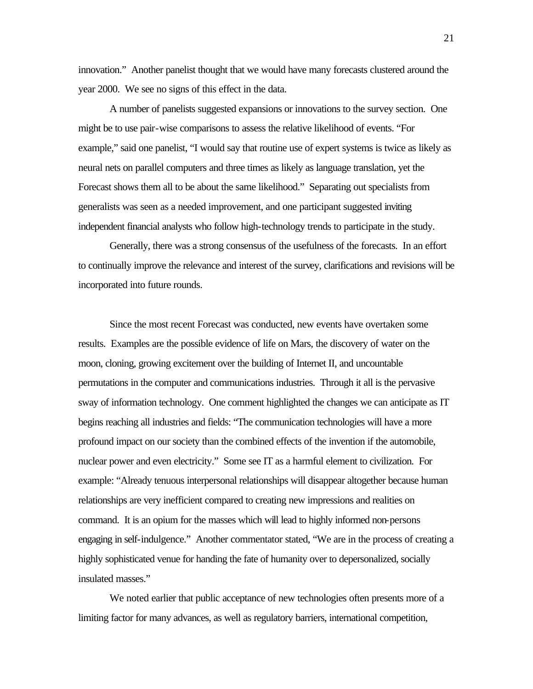innovation." Another panelist thought that we would have many forecasts clustered around the year 2000. We see no signs of this effect in the data.

A number of panelists suggested expansions or innovations to the survey section. One might be to use pair-wise comparisons to assess the relative likelihood of events. "For example," said one panelist, "I would say that routine use of expert systems is twice as likely as neural nets on parallel computers and three times as likely as language translation, yet the Forecast shows them all to be about the same likelihood." Separating out specialists from generalists was seen as a needed improvement, and one participant suggested inviting independent financial analysts who follow high-technology trends to participate in the study.

Generally, there was a strong consensus of the usefulness of the forecasts. In an effort to continually improve the relevance and interest of the survey, clarifications and revisions will be incorporated into future rounds.

Since the most recent Forecast was conducted, new events have overtaken some results. Examples are the possible evidence of life on Mars, the discovery of water on the moon, cloning, growing excitement over the building of Internet II, and uncountable permutations in the computer and communications industries. Through it all is the pervasive sway of information technology. One comment highlighted the changes we can anticipate as IT begins reaching all industries and fields: "The communication technologies will have a more profound impact on our society than the combined effects of the invention if the automobile, nuclear power and even electricity." Some see IT as a harmful element to civilization. For example: "Already tenuous interpersonal relationships will disappear altogether because human relationships are very inefficient compared to creating new impressions and realities on command. It is an opium for the masses which will lead to highly informed non-persons engaging in self-indulgence." Another commentator stated, "We are in the process of creating a highly sophisticated venue for handing the fate of humanity over to depersonalized, socially insulated masses."

We noted earlier that public acceptance of new technologies often presents more of a limiting factor for many advances, as well as regulatory barriers, international competition,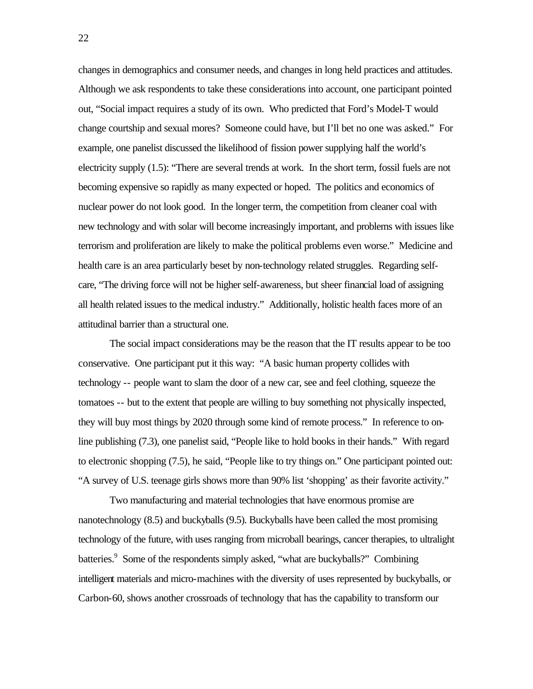changes in demographics and consumer needs, and changes in long held practices and attitudes. Although we ask respondents to take these considerations into account, one participant pointed out, "Social impact requires a study of its own. Who predicted that Ford's Model-T would change courtship and sexual mores? Someone could have, but I'll bet no one was asked." For example, one panelist discussed the likelihood of fission power supplying half the world's electricity supply (1.5): "There are several trends at work. In the short term, fossil fuels are not becoming expensive so rapidly as many expected or hoped. The politics and economics of nuclear power do not look good. In the longer term, the competition from cleaner coal with new technology and with solar will become increasingly important, and problems with issues like terrorism and proliferation are likely to make the political problems even worse." Medicine and health care is an area particularly beset by non-technology related struggles. Regarding selfcare, "The driving force will not be higher self-awareness, but sheer financial load of assigning all health related issues to the medical industry." Additionally, holistic health faces more of an attitudinal barrier than a structural one.

The social impact considerations may be the reason that the IT results appear to be too conservative. One participant put it this way: "A basic human property collides with technology -- people want to slam the door of a new car, see and feel clothing, squeeze the tomatoes -- but to the extent that people are willing to buy something not physically inspected, they will buy most things by 2020 through some kind of remote process." In reference to online publishing (7.3), one panelist said, "People like to hold books in their hands." With regard to electronic shopping (7.5), he said, "People like to try things on." One participant pointed out: "A survey of U.S. teenage girls shows more than 90% list 'shopping' as their favorite activity."

Two manufacturing and material technologies that have enormous promise are nanotechnology (8.5) and buckyballs (9.5). Buckyballs have been called the most promising technology of the future, with uses ranging from microball bearings, cancer therapies, to ultralight batteries.<sup>9</sup> Some of the respondents simply asked, "what are buckyballs?" Combining intelligent materials and micro-machines with the diversity of uses represented by buckyballs, or Carbon-60, shows another crossroads of technology that has the capability to transform our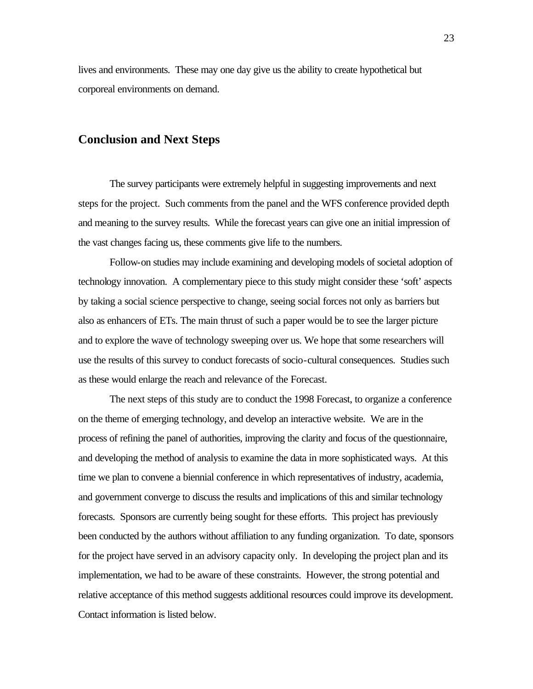lives and environments. These may one day give us the ability to create hypothetical but corporeal environments on demand.

# **Conclusion and Next Steps**

The survey participants were extremely helpful in suggesting improvements and next steps for the project. Such comments from the panel and the WFS conference provided depth and meaning to the survey results. While the forecast years can give one an initial impression of the vast changes facing us, these comments give life to the numbers.

Follow-on studies may include examining and developing models of societal adoption of technology innovation. A complementary piece to this study might consider these 'soft' aspects by taking a social science perspective to change, seeing social forces not only as barriers but also as enhancers of ETs. The main thrust of such a paper would be to see the larger picture and to explore the wave of technology sweeping over us. We hope that some researchers will use the results of this survey to conduct forecasts of socio-cultural consequences. Studies such as these would enlarge the reach and relevance of the Forecast.

The next steps of this study are to conduct the 1998 Forecast, to organize a conference on the theme of emerging technology, and develop an interactive website. We are in the process of refining the panel of authorities, improving the clarity and focus of the questionnaire, and developing the method of analysis to examine the data in more sophisticated ways. At this time we plan to convene a biennial conference in which representatives of industry, academia, and government converge to discuss the results and implications of this and similar technology forecasts. Sponsors are currently being sought for these efforts. This project has previously been conducted by the authors without affiliation to any funding organization. To date, sponsors for the project have served in an advisory capacity only. In developing the project plan and its implementation, we had to be aware of these constraints. However, the strong potential and relative acceptance of this method suggests additional resources could improve its development. Contact information is listed below.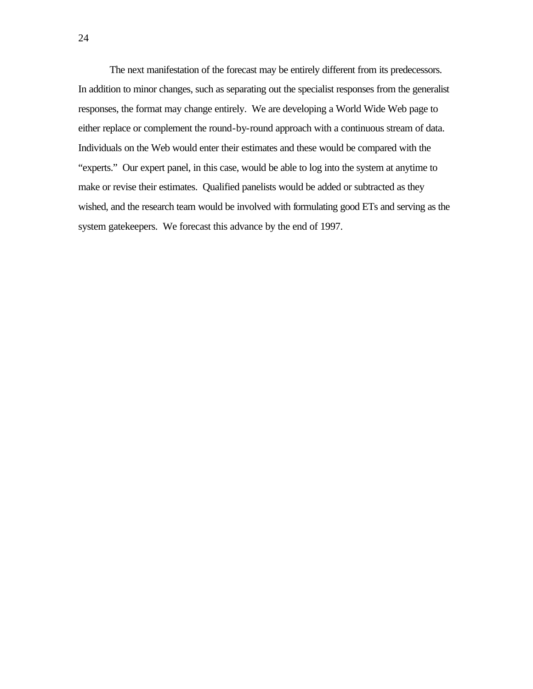The next manifestation of the forecast may be entirely different from its predecessors. In addition to minor changes, such as separating out the specialist responses from the generalist responses, the format may change entirely. We are developing a World Wide Web page to either replace or complement the round-by-round approach with a continuous stream of data. Individuals on the Web would enter their estimates and these would be compared with the "experts." Our expert panel, in this case, would be able to log into the system at anytime to make or revise their estimates. Qualified panelists would be added or subtracted as they wished, and the research team would be involved with formulating good ETs and serving as the system gatekeepers. We forecast this advance by the end of 1997.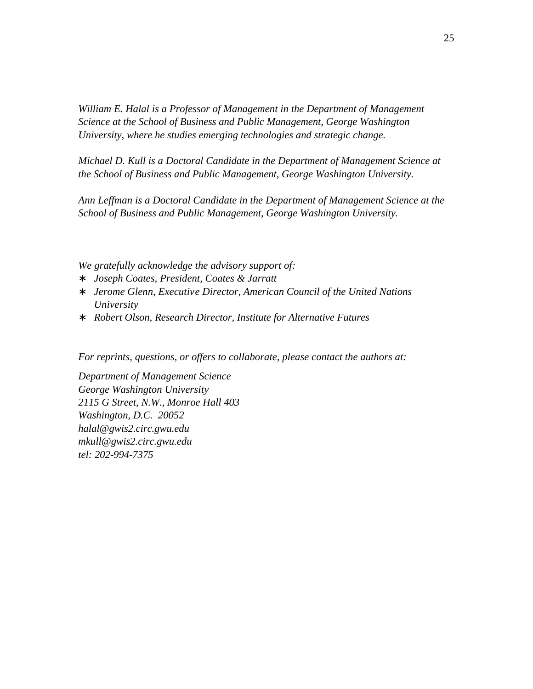*William E. Halal is a Professor of Management in the Department of Management Science at the School of Business and Public Management, George Washington University, where he studies emerging technologies and strategic change.*

*Michael D. Kull is a Doctoral Candidate in the Department of Management Science at the School of Business and Public Management, George Washington University.*

*Ann Leffman is a Doctoral Candidate in the Department of Management Science at the School of Business and Public Management, George Washington University.*

*We gratefully acknowledge the advisory support of:*

- ∗ *Joseph Coates, President, Coates & Jarratt*
- ∗ *Jerome Glenn, Executive Director, American Council of the United Nations University*
- ∗ *Robert Olson, Research Director, Institute for Alternative Futures*

*For reprints, questions, or offers to collaborate, please contact the authors at:*

*Department of Management Science George Washington University 2115 G Street, N.W., Monroe Hall 403 Washington, D.C. 20052 halal@gwis2.circ.gwu.edu mkull@gwis2.circ.gwu.edu tel: 202-994-7375*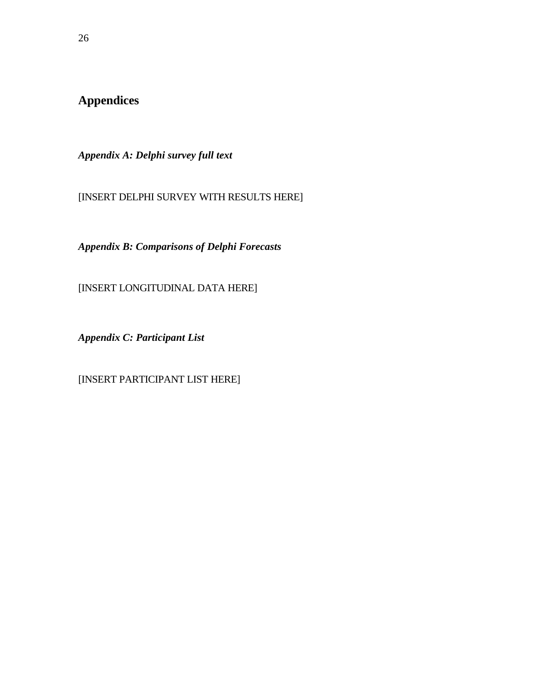**Appendices**

*Appendix A: Delphi survey full text*

[INSERT DELPHI SURVEY WITH RESULTS HERE]

*Appendix B: Comparisons of Delphi Forecasts*

[INSERT LONGITUDINAL DATA HERE]

*Appendix C: Participant List*

[INSERT PARTICIPANT LIST HERE]